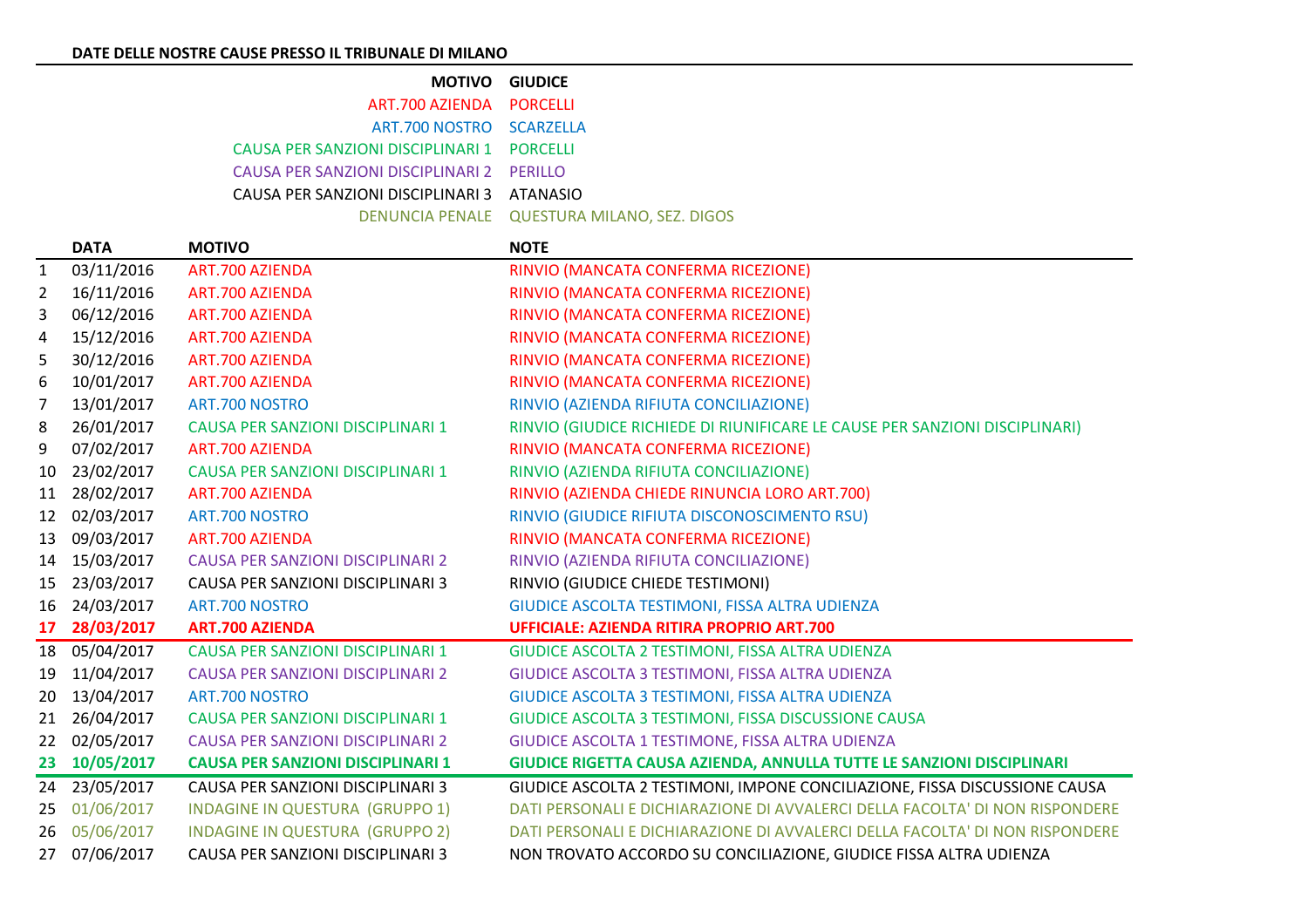| <b>MOTIVO GIUDICE</b>                      |                                             |
|--------------------------------------------|---------------------------------------------|
| ART.700 AZIENDA PORCELLI                   |                                             |
| ART.700 NOSTRO SCARZELLA                   |                                             |
| CAUSA PER SANZIONI DISCIPLINARI 1 PORCELLI |                                             |
| CAUSA PER SANZIONI DISCIPLINARI 2 PERILLO  |                                             |
| CAUSA PER SANZIONI DISCIPLINARI 3 ATANASIO |                                             |
|                                            | DENUNCIA PENALE QUESTURA MILANO, SEZ. DIGOS |

|              | <b>DATA</b>   | <b>MOTIVO</b>                            | <b>NOTE</b>                                                                  |
|--------------|---------------|------------------------------------------|------------------------------------------------------------------------------|
| $\mathbf{1}$ | 03/11/2016    | ART.700 AZIENDA                          | RINVIO (MANCATA CONFERMA RICEZIONE)                                          |
| 2            | 16/11/2016    | ART.700 AZIENDA                          | RINVIO (MANCATA CONFERMA RICEZIONE)                                          |
| 3            | 06/12/2016    | <b>ART.700 AZIENDA</b>                   | RINVIO (MANCATA CONFERMA RICEZIONE)                                          |
| 4            | 15/12/2016    | ART.700 AZIENDA                          | RINVIO (MANCATA CONFERMA RICEZIONE)                                          |
| 5            | 30/12/2016    | ART.700 AZIENDA                          | RINVIO (MANCATA CONFERMA RICEZIONE)                                          |
| 6            | 10/01/2017    | <b>ART.700 AZIENDA</b>                   | RINVIO (MANCATA CONFERMA RICEZIONE)                                          |
| 7            | 13/01/2017    | ART.700 NOSTRO                           | RINVIO (AZIENDA RIFIUTA CONCILIAZIONE)                                       |
| 8            | 26/01/2017    | CAUSA PER SANZIONI DISCIPLINARI 1        | RINVIO (GIUDICE RICHIEDE DI RIUNIFICARE LE CAUSE PER SANZIONI DISCIPLINARI)  |
| 9            | 07/02/2017    | ART.700 AZIENDA                          | RINVIO (MANCATA CONFERMA RICEZIONE)                                          |
| 10           | 23/02/2017    | CAUSA PER SANZIONI DISCIPLINARI 1        | RINVIO (AZIENDA RIFIUTA CONCILIAZIONE)                                       |
| 11           | 28/02/2017    | <b>ART.700 AZIENDA</b>                   | RINVIO (AZIENDA CHIEDE RINUNCIA LORO ART.700)                                |
| 12           | 02/03/2017    | ART.700 NOSTRO                           | RINVIO (GIUDICE RIFIUTA DISCONOSCIMENTO RSU)                                 |
| 13           | 09/03/2017    | ART.700 AZIENDA                          | RINVIO (MANCATA CONFERMA RICEZIONE)                                          |
| 14           | 15/03/2017    | <b>CAUSA PER SANZIONI DISCIPLINARI 2</b> | RINVIO (AZIENDA RIFIUTA CONCILIAZIONE)                                       |
| 15           | 23/03/2017    | CAUSA PER SANZIONI DISCIPLINARI 3        | RINVIO (GIUDICE CHIEDE TESTIMONI)                                            |
| 16           | 24/03/2017    | ART.700 NOSTRO                           | GIUDICE ASCOLTA TESTIMONI, FISSA ALTRA UDIENZA                               |
| 17           | 28/03/2017    | <b>ART.700 AZIENDA</b>                   | <b>UFFICIALE: AZIENDA RITIRA PROPRIO ART.700</b>                             |
|              | 18 05/04/2017 | <b>CAUSA PER SANZIONI DISCIPLINARI 1</b> | GIUDICE ASCOLTA 2 TESTIMONI, FISSA ALTRA UDIENZA                             |
| 19           | 11/04/2017    | <b>CAUSA PER SANZIONI DISCIPLINARI 2</b> | GIUDICE ASCOLTA 3 TESTIMONI, FISSA ALTRA UDIENZA                             |
| 20           | 13/04/2017    | ART.700 NOSTRO                           | GIUDICE ASCOLTA 3 TESTIMONI, FISSA ALTRA UDIENZA                             |
| 21           | 26/04/2017    | <b>CAUSA PER SANZIONI DISCIPLINARI 1</b> | GIUDICE ASCOLTA 3 TESTIMONI, FISSA DISCUSSIONE CAUSA                         |
| 22           | 02/05/2017    | <b>CAUSA PER SANZIONI DISCIPLINARI 2</b> | GIUDICE ASCOLTA 1 TESTIMONE, FISSA ALTRA UDIENZA                             |
| 23           | 10/05/2017    | <b>CAUSA PER SANZIONI DISCIPLINARI 1</b> | GIUDICE RIGETTA CAUSA AZIENDA, ANNULLA TUTTE LE SANZIONI DISCIPLINARI        |
| 24           | 23/05/2017    | CAUSA PER SANZIONI DISCIPLINARI 3        | GIUDICE ASCOLTA 2 TESTIMONI, IMPONE CONCILIAZIONE, FISSA DISCUSSIONE CAUSA   |
| 25           | 01/06/2017    | <b>INDAGINE IN QUESTURA (GRUPPO 1)</b>   | DATI PERSONALI E DICHIARAZIONE DI AVVALERCI DELLA FACOLTA' DI NON RISPONDERE |
| 26           | 05/06/2017    | <b>INDAGINE IN QUESTURA (GRUPPO 2)</b>   | DATI PERSONALI E DICHIARAZIONE DI AVVALERCI DELLA FACOLTA' DI NON RISPONDERE |
| 27           | 07/06/2017    | CAUSA PER SANZIONI DISCIPLINARI 3        | NON TROVATO ACCORDO SU CONCILIAZIONE, GIUDICE FISSA ALTRA UDIENZA            |